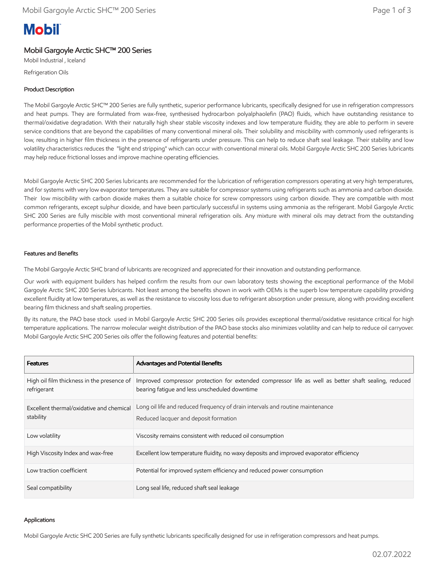# **Mobil**

### Mobil Gargoyle Arctic SHC™ 200 Series

Mobil Industrial , Iceland Refrigeration Oils

## Product Description

The Mobil Gargoyle Arctic SHC™ 200 Series are fully synthetic, superior performance lubricants, specifically designed for use in refrigeration compressors and heat pumps. They are formulated from wax-free, synthesised hydrocarbon polyalphaolefin (PAO) fluids, which have outstanding resistance to thermal/oxidative degradation. With their naturally high shear stable viscosity indexes and low temperature fluidity, they are able to perform in severe service conditions that are beyond the capabilities of many conventional mineral oils. Their solubility and miscibility with commonly used refrigerants is low, resulting in higher film thickness in the presence of refrigerants under pressure. This can help to reduce shaft seal leakage. Their stability and low volatility characteristics reduces the "light end stripping" which can occur with conventional mineral oils. Mobil Gargoyle Arctic SHC 200 Series lubricants may help reduce frictional losses and improve machine operating efficiencies.

Mobil Gargoyle Arctic SHC 200 Series lubricants are recommended for the lubrication of refrigeration compressors operating at very high temperatures, and for systems with very low evaporator temperatures. They are suitable for compressor systems using refrigerants such as ammonia and carbon dioxide. Their low miscibility with carbon dioxide makes them a suitable choice for screw compressors using carbon dioxide. They are compatible with most common refrigerants, except sulphur dioxide, and have been particularly successful in systems using ammonia as the refrigerant. Mobil Gargoyle Arctic SHC 200 Series are fully miscible with most conventional mineral refrigeration oils. Any mixture with mineral oils may detract from the outstanding performance properties of the Mobil synthetic product.

#### Features and Benefits

The Mobil Gargoyle Arctic SHC brand of lubricants are recognized and appreciated for their innovation and outstanding performance.

Our work with equipment builders has helped confirm the results from our own laboratory tests showing the exceptional performance of the Mobil Gargoyle Arctic SHC 200 Series lubricants. Not least among the benefits shown in work with OEMs is the superb low temperature capability providing excellent fluidity at low temperatures, as well as the resistance to viscosity loss due to refrigerant absorption under pressure, along with providing excellent bearing film thickness and shaft sealing properties.

By its nature, the PAO base stock used in Mobil Gargoyle Arctic SHC 200 Series oils provides exceptional thermal/oxidative resistance critical for high temperature applications. The narrow molecular weight distribution of the PAO base stocks also minimizes volatility and can help to reduce oil carryover. Mobil Gargoyle Arctic SHC 200 Series oils offer the following features and potential benefits:

| <b>Features</b>                                           | <b>Advantages and Potential Benefits</b>                                                                                                              |
|-----------------------------------------------------------|-------------------------------------------------------------------------------------------------------------------------------------------------------|
| High oil film thickness in the presence of<br>refrigerant | Improved compressor protection for extended compressor life as well as better shaft sealing, reduced<br>bearing fatigue and less unscheduled downtime |
| Excellent thermal/oxidative and chemical<br>stability     | Long oil life and reduced frequency of drain intervals and routine maintenance<br>Reduced lacquer and deposit formation                               |
| Low volatility                                            | Viscosity remains consistent with reduced oil consumption                                                                                             |
| High Viscosity Index and wax-free                         | Excellent low temperature fluidity, no waxy deposits and improved evaporator efficiency                                                               |
| Low traction coefficient                                  | Potential for improved system efficiency and reduced power consumption                                                                                |
| Seal compatibility                                        | Long seal life, reduced shaft seal leakage                                                                                                            |

#### Applications

Mobil Gargoyle Arctic SHC 200 Series are fully synthetic lubricants specifically designed for use in refrigeration compressors and heat pumps.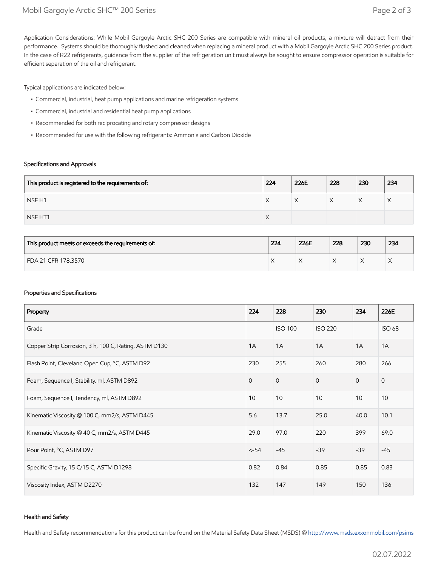Application Considerations: While Mobil Gargoyle Arctic SHC 200 Series are compatible with mineral oil products, a mixture will detract from their performance. Systems should be thoroughly flushed and cleaned when replacing a mineral product with a Mobil Gargoyle Arctic SHC 200 Series product. In the case of R22 refrigerants, guidance from the supplier of the refrigeration unit must always be sought to ensure compressor operation is suitable for efficient separation of the oil and refrigerant.

Typical applications are indicated below:

- Commercial, industrial, heat pump applications and marine refrigeration systems
- Commercial, industrial and residential heat pump applications
- Recommended for both reciprocating and rotary compressor designs
- Recommended for use with the following refrigerants: Ammonia and Carbon Dioxide

#### Specifications and Approvals

| This product is registered to the requirements of: | 224       | 226E | 228 | 230 | 234       |
|----------------------------------------------------|-----------|------|-----|-----|-----------|
| NSF <sub>H1</sub>                                  | ⌒         | ∧    |     |     | $\lambda$ |
| NSF HT1                                            | $\lambda$ |      |     |     |           |

| This product meets or exceeds the requirements of: | 224 | 226E | 228 | 230 | 234 |
|----------------------------------------------------|-----|------|-----|-----|-----|
| FDA 21 CFR 178.3570                                |     |      |     |     | ⌒   |

#### Properties and Specifications

| Property                                              | 224          | 228            | 230            | 234          | 226E          |
|-------------------------------------------------------|--------------|----------------|----------------|--------------|---------------|
| Grade                                                 |              | <b>ISO 100</b> | <b>ISO 220</b> |              | <b>ISO 68</b> |
| Copper Strip Corrosion, 3 h, 100 C, Rating, ASTM D130 | 1A           | 1A             | 1A             | 1A           | 1A            |
| Flash Point, Cleveland Open Cup, °C, ASTM D92         | 230          | 255            | 260            | 280          | 266           |
| Foam, Sequence I, Stability, ml, ASTM D892            | $\mathbf{0}$ | $\mathbf{0}$   | $\overline{0}$ | $\mathbf{0}$ | $\mathbf{O}$  |
| Foam, Sequence I, Tendency, ml, ASTM D892             | 10           | 10             | 10             | 10           | 10            |
| Kinematic Viscosity @ 100 C, mm2/s, ASTM D445         | 5.6          | 13.7           | 25.0           | 40.0         | 10.1          |
| Kinematic Viscosity @ 40 C, mm2/s, ASTM D445          | 29.0         | 97.0           | 220            | 399          | 69.0          |
| Pour Point, °C, ASTM D97                              | $< -54$      | $-45$          | $-39$          | $-39$        | $-45$         |
| Specific Gravity, 15 C/15 C, ASTM D1298               | 0.82         | 0.84           | 0.85           | 0.85         | 0.83          |
| Viscosity Index, ASTM D2270                           | 132          | 147            | 149            | 150          | 136           |

#### Health and Safety

Health and Safety recommendations for this product can be found on the Material Safety Data Sheet (MSDS) @ [http://www.msds.exxonmobil.com/psims](http://www.msds.exxonmobil.com/psims/psims.aspx)